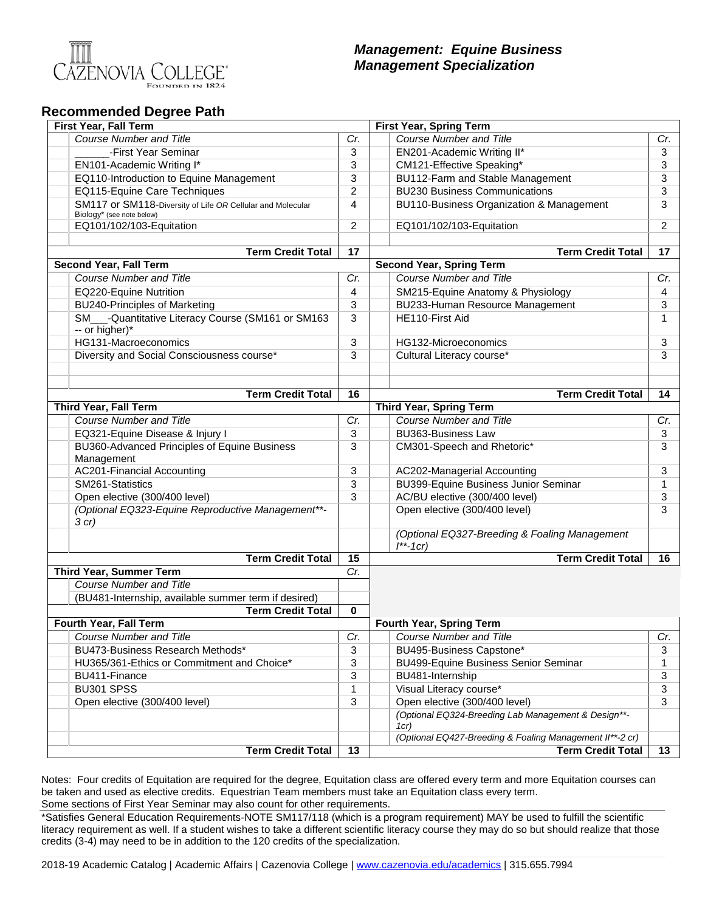

## *Management: Equine Business Management Specialization*

## **Recommended Degree Path**

| <b>First Year, Fall Term</b>                                                            |     | <b>First Year, Spring Term</b>                                  |     |
|-----------------------------------------------------------------------------------------|-----|-----------------------------------------------------------------|-----|
| <b>Course Number and Title</b>                                                          | Cr. | <b>Course Number and Title</b>                                  | Cr. |
| -First Year Seminar                                                                     | 3   | EN201-Academic Writing II*                                      | 3   |
| EN101-Academic Writing I*                                                               | 3   | CM121-Effective Speaking*                                       | 3   |
| EQ110-Introduction to Equine Management                                                 | 3   | BU112-Farm and Stable Management                                | 3   |
| EQ115-Equine Care Techniques                                                            | 2   | <b>BU230 Business Communications</b>                            | 3   |
| SM117 or SM118-Diversity of Life OR Cellular and Molecular<br>Biology* (see note below) | 4   | BU110-Business Organization & Management                        | 3   |
| EQ101/102/103-Equitation                                                                | 2   | EQ101/102/103-Equitation                                        | 2   |
|                                                                                         |     |                                                                 |     |
| <b>Term Credit Total</b>                                                                | 17  | <b>Term Credit Total</b>                                        | 17  |
| Second Year, Fall Term                                                                  |     | <b>Second Year, Spring Term</b>                                 |     |
| <b>Course Number and Title</b>                                                          | Cr. | <b>Course Number and Title</b>                                  | Cr. |
| EQ220-Equine Nutrition                                                                  | 4   | SM215-Equine Anatomy & Physiology                               | 4   |
| <b>BU240-Principles of Marketing</b>                                                    | 3   | BU233-Human Resource Management                                 | 3   |
| SM___-Quantitative Literacy Course (SM161 or SM163<br>-- or higher)*                    | 3   | HE110-First Aid                                                 | 1   |
| HG131-Macroeconomics                                                                    | 3   | HG132-Microeconomics                                            | 3   |
| Diversity and Social Consciousness course*                                              | 3   | Cultural Literacy course*                                       | 3   |
|                                                                                         |     |                                                                 |     |
|                                                                                         |     |                                                                 |     |
| <b>Term Credit Total</b>                                                                | 16  | <b>Term Credit Total</b>                                        | 14  |
| <b>Third Year, Fall Term</b>                                                            |     | <b>Third Year, Spring Term</b>                                  |     |
| <b>Course Number and Title</b>                                                          | Cr. | <b>Course Number and Title</b>                                  | Cr. |
| EQ321-Equine Disease & Injury I                                                         | 3   | <b>BU363-Business Law</b>                                       | 3   |
| BU360-Advanced Principles of Equine Business<br>Management                              | 3   | CM301-Speech and Rhetoric*                                      | 3   |
| <b>AC201-Financial Accounting</b>                                                       | 3   | AC202-Managerial Accounting                                     | 3   |
| SM261-Statistics                                                                        | 3   | BU399-Equine Business Junior Seminar                            | 1   |
| Open elective (300/400 level)                                                           | 3   | AC/BU elective (300/400 level)                                  | 3   |
| (Optional EQ323-Equine Reproductive Management**-<br>$3$ cr)                            |     | Open elective (300/400 level)                                   | 3   |
|                                                                                         |     | (Optional EQ327-Breeding & Foaling Management<br>$1^{**}$ -1cr) |     |
| <b>Term Credit Total</b>                                                                | 15  | <b>Term Credit Total</b>                                        | 16  |
| <b>Third Year, Summer Term</b>                                                          | Cr. |                                                                 |     |
| <b>Course Number and Title</b>                                                          |     |                                                                 |     |
| (BU481-Internship, available summer term if desired)                                    |     |                                                                 |     |
| <b>Term Credit Total</b>                                                                | 0   |                                                                 |     |
| Fourth Year, Fall Term                                                                  |     | <b>Fourth Year, Spring Term</b>                                 |     |
| Course Number and Title                                                                 | Cr. | Course Number and Title                                         | Cr. |
| BU473-Business Research Methods*                                                        | 3   | BU495-Business Capstone*                                        | 3   |
| HU365/361-Ethics or Commitment and Choice*                                              | 3   | <b>BU499-Equine Business Senior Seminar</b>                     | 1   |
| BU411-Finance                                                                           | 3   | BU481-Internship                                                | 3   |
| BU301 SPSS                                                                              | 1   | Visual Literacy course*                                         | 3   |
| Open elective (300/400 level)                                                           | 3   | Open elective (300/400 level)                                   | 3   |
|                                                                                         |     | (Optional EQ324-Breeding Lab Management & Design**-<br>1cr)     |     |
|                                                                                         |     | (Optional EQ427-Breeding & Foaling Management II**-2 cr)        |     |
| <b>Term Credit Total</b>                                                                | 13  | <b>Term Credit Total</b>                                        | 13  |

Notes: Four credits of Equitation are required for the degree, Equitation class are offered every term and more Equitation courses can be taken and used as elective credits. Equestrian Team members must take an Equitation class every term. Some sections of First Year Seminar may also count for other requirements.

\*Satisfies General Education Requirements-NOTE SM117/118 (which is a program requirement) MAY be used to fulfill the scientific literacy requirement as well. If a student wishes to take a different scientific literacy course they may do so but should realize that those credits (3-4) may need to be in addition to the 120 credits of the specialization.